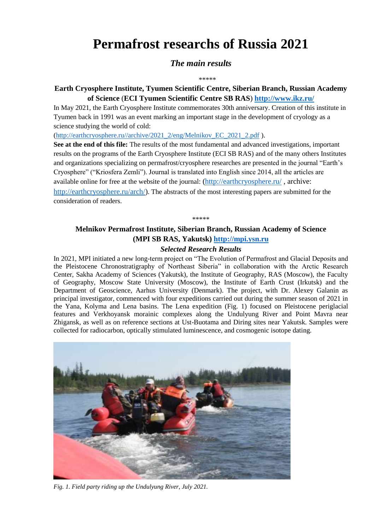# **Permafrost researchs of Russia 2021**

# *The main results*

\*\*\*\*\*

# **Earth Cryosphere Institute, Tyumen Scientific Centre, Siberian Branch, Russian Academy of Science** (**ECI Tyumen Scientific Centre SB RAS**) **<http://www.ikz.ru/>**

In May 2021, the Earth Cryosphere Institute commemorates 30th anniversary. Creation of this institute in Tyumen back in 1991 was an event marking an important stage in the development of cryology as a science studying the world of cold:

[\(http://earthcryosphere.ru//archive/2021\\_2/eng/Melnikov\\_EC\\_2021\\_2.pdf](http://earthcryosphere.ru/archive/2021_2/eng/Melnikov_EC_2021_2.pdf) ).

**See at the end of this file:** The results of the most fundamental and advanced investigations, important results on the programs of the Earth Cryosphere Institute (ECI SB RAS) and of the many others Institutes and organizations specializing on permafrost/cryosphere researches are presented in the journal "Earth's Cryosphere" ("Kriosfera Zemli"). Journal is translated into English since 2014, all the articles are available online for free at the website of the journal: [\(http://earthcryosphere.ru/](http://earthcryosphere.ru/), archive: [http://earthcryosphere.ru/arch/\)](http://earthcryosphere.ru/arch/). The abstracts of the most interesting papers are submitted for the consideration of readers.

\*\*\*\*\*

# **Melnikov Permafrost Institute, Siberian Branch, Russian Academy of Science (MPI SB RAS, Yakutsk) [http://mpi.ysn.ru](http://mpi.ysn.ru/)**

# *Selected Research Results*

In 2021, MPI initiated a new long-term project on "The Evolution of Permafrost and Glacial Deposits and the Pleistocene Chronostratigraphy of Northeast Siberia" in collaboration with the Arctic Research Center, Sakha Academy of Sciences (Yakutsk), the Institute of Geography, RAS (Moscow), the Faculty of Geography, Moscow State University (Moscow), the Institute of Earth Crust (Irkutsk) and the Department of Geoscience, Aarhus University (Denmark). The project, with Dr. Alexey Galanin as principal investigator, commenced with four expeditions carried out during the summer season of 2021 in the Yana, Kolyma and Lena basins. The Lena expedition (Fig. 1) focused on Pleistocene periglacial features and Verkhoyansk morainic complexes along the Undulyung River and Point Mavra near Zhigansk, as well as on reference sections at Ust-Buotama and Diring sites near Yakutsk. Samples were collected for radiocarbon, optically stimulated luminescence, and cosmogenic isotope dating.



*Fig. 1. Field party riding up the Undulyung River, July 2021.*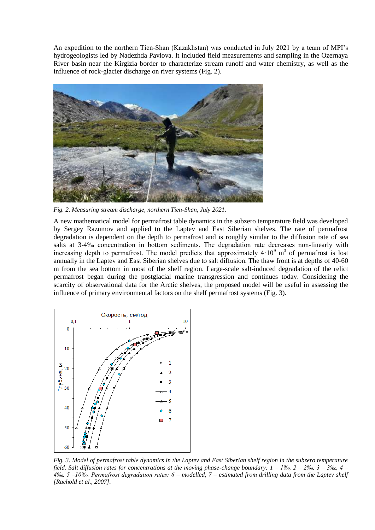An expedition to the northern Tien-Shan (Kazakhstan) was conducted in July 2021 by a team of MPI's hydrogeologists led by Nadezhda Pavlova. It included field measurements and sampling in the Ozernaya River basin near the Kirgizia border to characterize stream runoff and water chemistry, as well as the influence of rock-glacier discharge on river systems (Fig. 2).



*Fig. 2. Measuring stream discharge, northern Tien-Shan, July 2021.*

A new mathematical model for permafrost table dynamics in the subzero temperature field was developed by Sergey Razumov and applied to the Laptev and East Siberian shelves. The rate of permafrost degradation is dependent on the depth to permafrost and is roughly similar to the diffusion rate of sea salts at 3-4‰ concentration in bottom sediments. The degradation rate decreases non-linearly with increasing depth to permafrost. The model predicts that approximately  $4 \cdot 10^9$  m<sup>3</sup> of permafrost is lost annually in the Laptev and East Siberian shelves due to salt diffusion. The thaw front is at depths of 40-60 m from the sea bottom in most of the shelf region. Large-scale salt-induced degradation of the relict permafrost began during the postglacial marine transgression and continues today. Considering the scarcity of observational data for the Arctic shelves, the proposed model will be useful in assessing the influence of primary environmental factors on the shelf permafrost systems (Fig. 3).



*Fig. 3. Model of permafrost table dynamics in the Laptev and East Siberian shelf region in the subzero temperature field. Salt diffusion rates for concentrations at the moving phase-change boundary: 1 – 1‰, 2 – 2‰, 3 – 3‰, 4 – 4‰, 5 –10‰. Permafrost degradation rates: 6 – modelled, 7 – estimated from drilling data from the Laptev shelf [Rachold et al., 2007].*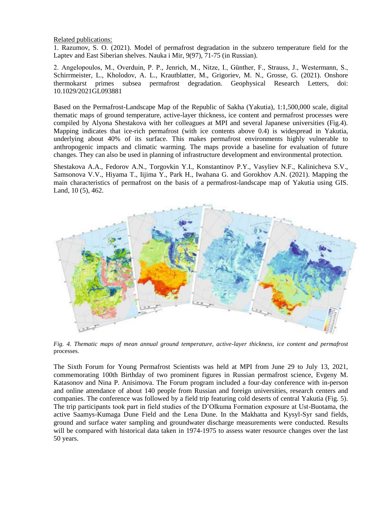Related publications:

1. Razumov, S. O. (2021). Model of permafrost degradation in the subzero temperature field for the Laptev and East Siberian shelves. Nauka i Mir, 9(97), 71-75 (in Russian).

2. Angelopoulos, M., Overduin, P. P., Jenrich, M., Nitze, I., Günther, F., Strauss, J., Westermann, S., Schirrmeister, L., Kholodov, A. L., Krautblatter, M., Grigoriev, M. N., Grosse, G. (2021). Onshore thermokarst primes subsea permafrost degradation. Geophysical Research Letters, doi: 10.1029/2021GL093881

Based on the Permafrost-Landscape Map of the Republic of Sakha (Yakutia), 1:1,500,000 scale, digital thematic maps of ground temperature, active-layer thickness, ice content and permafrost processes were compiled by Alyona Shestakova with her colleagues at MPI and several Japanese universities (Fig.4). Mapping indicates that ice-rich permafrost (with ice contents above 0.4) is widespread in Yakutia, underlying about 40% of its surface. This makes permafrost environments highly vulnerable to anthropogenic impacts and climatic warming. The maps provide a baseline for evaluation of future changes. They can also be used in planning of infrastructure development and environmental protection.

Shestakova A.A., Fedorov A.N., Torgovkin Y.I., Konstantinov P.Y., Vasyliev N.F., Kalinicheva S.V., Samsonova V.V., Hiyama T., Iijima Y., Park H., Iwahana G. and Gorokhov A.N. (2021). Mapping the main characteristics of permafrost on the basis of a permafrost-landscape map of Yakutia using GIS. Land, 10 (5), 462.



*Fig. 4. Thematic maps of mean annual ground temperature, active-layer thickness, ice content and permafrost* processes.

The Sixth Forum for Young Permafrost Scientists was held at MPI from June 29 to July 13, 2021, commemorating 100th Birthday of two prominent figures in Russian permafrost science, Evgeny M. Katasonov and Nina P. Anisimova. The Forum program included a four-day conference with in-person and online attendance of about 140 people from Russian and foreign universities, research centers and companies. The conference was followed by a field trip featuring cold deserts of central Yakutia (Fig. 5). The trip participants took part in field studies of the D'Olkuma Formation exposure at Ust-Buotama, the active Saamys-Kumaga Dune Field and the Lena Dune. In the Makhatta and Kysyl-Syr sand fields, ground and surface water sampling and groundwater discharge measurements were conducted. Results will be compared with historical data taken in 1974-1975 to assess water resource changes over the last 50 years.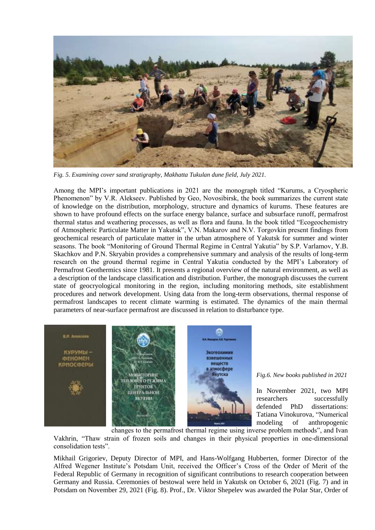

*Fig. 5. Examining cover sand stratigraphy, Makhatta Tukulan dune field, July 2021.*

Among the MPI's important publications in 2021 are the monograph titled "Kurums, a Cryospheric Phenomenon" by V.R. Alekseev. Published by Geo, Novosibirsk, the book summarizes the current state of knowledge on the distribution, morphology, structure and dynamics of kurums. These features are shown to have profound effects on the surface energy balance, surface and subsurface runoff, permafrost thermal status and weathering processes, as well as flora and fauna. In the book titled "Ecogeochemistry of Atmospheric Particulate Matter in Yakutsk", V.N. Makarov and N.V. Torgovkin present findings from geochemical research of particulate matter in the urban atmosphere of Yakutsk for summer and winter seasons. The book "Monitoring of Ground Thermal Regime in Central Yakutia" by S.P. Varlamov, Y.B. Skachkov and P.N. Skryabin provides a comprehensive summary and analysis of the results of long-term research on the ground thermal regime in Central Yakutia conducted by the MPI's Laboratory of Permafrost Geothermics since 1981. It presents a regional overview of the natural environment, as well as a description of the landscape classification and distribution. Further, the monograph discusses the current state of geocryological monitoring in the region, including monitoring methods, site establishment procedures and network development. Using data from the long-term observations, thermal response of permafrost landscapes to recent climate warming is estimated. The dynamics of the main thermal parameters of near-surface permafrost are discussed in relation to disturbance type.



*Fig.6. New books published in 2021*

In November 2021, two MPI researchers successfully defended PhD dissertations: Tatiana Vinokurova, "Numerical modeling of anthropogenic

changes to the permafrost thermal regime using inverse problem methods", and Ivan Vakhrin, "Thaw strain of frozen soils and changes in their physical properties in one-dimensional consolidation tests".

Mikhail Grigoriev, Deputy Director of MPI, and Hans-Wolfgang Hubberten, former Director of the Alfred Wegener Institute's Potsdam Unit, received the Officer's Cross of the Order of Merit of the Federal Republic of Germany in recognition of significant contributions to research cooperation between Germany and Russia. Ceremonies of bestowal were held in Yakutsk on October 6, 2021 (Fig. 7) and in Potsdam on November 29, 2021 (Fig. 8). Prof., Dr. Viktor Shepelev was awarded the Polar Star, Order of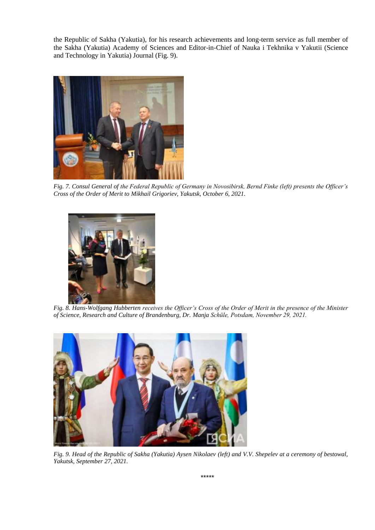the Republic of Sakha (Yakutia), for his research achievements and long-term service as full member of the Sakha (Yakutia) Academy of Sciences and Editor-in-Chief of Nauka i Tekhnika v Yakutii (Science and Technology in Yakutia) Journal (Fig. 9).



*Fig. 7. Consul General of the Federal Republic of Germany in Novosibirsk, Bernd Finke (left) presents the Officer's Cross of the Order of Merit to Mikhail Grigoriev, Yakutsk, October 6, 2021.*



*Fig. 8. Hans-Wolfgang Hubberten receives the Officer's Cross of the Order of Merit in the presence of the Minister of Science, Research and Culture of Brandenburg, Dr. Manja Schüle, Potsdam, November 29, 2021.*



*Fig. 9. Head of the Republic of Sakha (Yakutia) Aysen Nikolaev (left) and V.V. Shepelev at a ceremony of bestowal, Yakutsk, September 27, 2021.*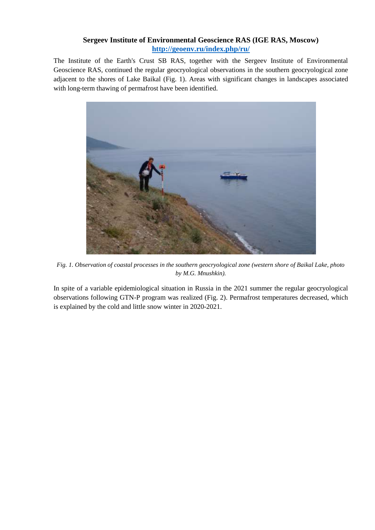# **Sergeev Institute of Environmental Geoscience RAS (IGE RAS, Moscow) <http://geoenv.ru/index.php/ru/>**

The Institute of the Earth's Crust SB RAS, together with the Sergeev Institute of Environmental Geoscience RAS, continued the regular geocryological observations in the southern geocryological zone adjacent to the shores of Lake Baikal (Fig. 1). Areas with significant changes in landscapes associated with long-term thawing of permafrost have been identified.



*Fig. 1. Observation of coastal processes in the southern geocryological zone (western shore of Baikal Lake, photo by M.G. Mnushkin).*

In spite of a variable epidemiological situation in Russia in the 2021 summer the regular geocryological observations following GTN-P program was realized (Fig. 2). Permafrost temperatures decreased, which is explained by the cold and little snow winter in 2020-2021.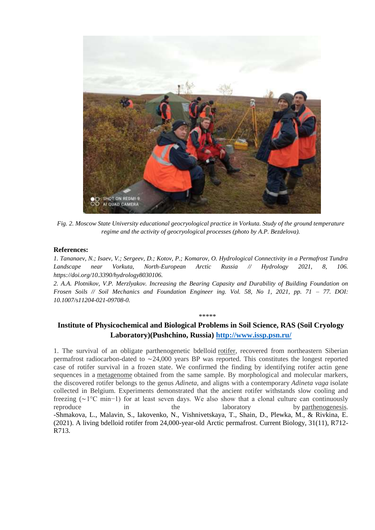

*Fig. 2. Moscow State University educational geocryological practice in Vorkuta. Study of the ground temperature regime and the activity of geocryological processes (photo by A.P. Bezdelova).*

### **References:**

*1. Tananaev, N.; Isaev, V.; Sergeev, D.; Kotov, P.; Komarov, O. Hydrological Connectivity in a Permafrost Tundra Landscape near Vorkuta, North-European Arctic Russia // Hydrology 2021, 8, 106. https://doi.org/10.3390/hydrology8030106.*

*2. A.A. Plotnikov, V.P. Merzlyakov. Increasing the Bearing Capasity and Durability of Building Foundation on Frosen Soils // Soil Mechanics and Foundation Engineer ing. Vol. 58, No 1, 2021, pp. 71 – 77. DOI: 10.1007/s11204-021-09708-0.*

#### \*\*\*\*\*

# **Institute of Physicochemical and Biological Problems in Soil Science, RAS (Soil Cryology Laboratory)(Pushchino, Russia)<http://www.issp.psn.ru/>**

1. The survival of an obligate parthenogenetic bdelloid [rotifer,](https://www.sciencedirect.com/topics/biochemistry-genetics-and-molecular-biology/rotifera) recovered from northeastern Siberian permafrost radiocarbon-dated to ∼24,000 years BP was reported. This constitutes the longest reported case of rotifer survival in a frozen state. We confirmed the finding by identifying rotifer actin gene sequences in a [metagenome](https://www.sciencedirect.com/topics/biochemistry-genetics-and-molecular-biology/metagenome) obtained from the same sample. By morphological and molecular markers, the discovered rotifer belongs to the genus *Adineta*, and aligns with a contemporary *Adineta vaga* isolate collected in Belgium. Experiments demonstrated that the ancient rotifer withstands slow cooling and freezing (∼1°C min−1) for at least seven days. We also show that a clonal culture can continuously reproduce in the laboratory by [parthenogenesis.](https://www.sciencedirect.com/topics/biochemistry-genetics-and-molecular-biology/parthenogenesis) -Shmakova, L., Malavin, S., Iakovenko, N., Vishnivetskaya, T., Shain, D., Plewka, M., & Rivkina, E. (2021). A living bdelloid rotifer from 24,000-year-old Arctic permafrost. Current Biology, 31(11), R712- R713.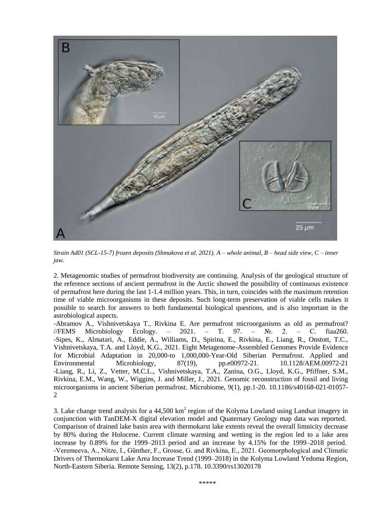

*Strain Ad01 (SCL-15-7) frozen deposits (Shmakova et al. 2021). A – whole animal, B – head side view, C – inner jaw.*

2. Metagenomic studies of permafrost biodiversity are continuing. Analysis of the geological structure of the reference sections of ancient permafrost in the Arctic showed the possibility of continuous existence of permafrost here during the last 1-1.4 million years. This, in turn, coincides with the maximum retention time of viable microorganisms in these deposits. Such long-term preservation of viable cells makes it possible to search for answers to both fundamental biological questions, and is also important in the astrobiological aspects.

-Abramov A., Vishnivetskaya T., Rivkina E. Are permafrost microorganisms as old as permafrost? //FEMS Microbiology Ecology. – 2021. – T. 97. –  $\mathbb{N}_2$ . 2. – C. fiaa260. -Sipes, K., Almatari, A., Eddie, A., Williams, D., Spirina, E., Rivkina, E., Liang, R., Onstott, T.C., Vishnivetskaya, T.A. and Lloyd, K.G., 2021. Eight Metagenome-Assembled Genomes Provide Evidence for Microbial Adaptation in 20,000-to 1,000,000-Year-Old Siberian Permafrost. Applied and Environmental Microbiology, 87(19), pp.e00972-21. 10.1128/AEM.00972-21 -Liang, R., Li, Z., Vetter, M.C.L., Vishnivetskaya, T.A., Zanina, O.G., Lloyd, K.G., Pfiffner, S.M., Rivkina, E.M., Wang, W., Wiggins, J. and Miller, J., 2021. Genomic reconstruction of fossil and living microorganisms in ancient Siberian permafrost. Microbiome, 9(1), pp.1-20. 10.1186/s40168-021-01057- 2

3. Lake change trend analysis for a  $44,500 \text{ km}^2$  region of the Kolyma Lowland using Landsat imagery in conjunction with TanDEM-X digital elevation model and Quaternary Geology map data was reported. Comparison of drained lake basin area with thermokarst lake extents reveal the overall limnicity decrease by 80% during the Holocene. Current climate warming and wetting in the region led to a lake area increase by 0.89% for the 1999–2013 period and an increase by 4.15% for the 1999–2018 period. -Veremeeva, A., Nitze, I., Günther, F., Grosse, G. and Rivkina, E., 2021. Geomorphological and Climatic Drivers of Thermokarst Lake Area Increase Trend (1999–2018) in the Kolyma Lowland Yedoma Region, North-Eastern Siberia. Remote Sensing, 13(2), p.178. 10.3390/rs13020178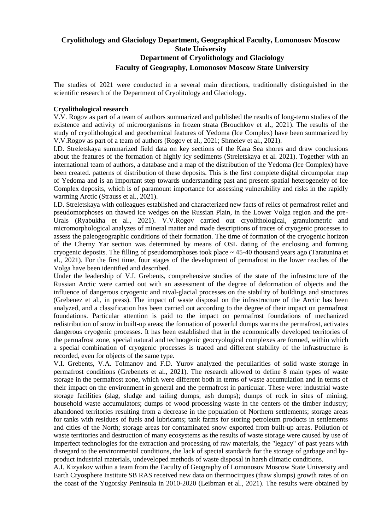# **Cryolithology and Glaciology Department, Geographical Faculty, Lomonosov Moscow State University Department of Cryolithology and Glaciology Faculty of Geography, Lomonosov Moscow State University**

The studies of 2021 were conducted in a several main directions, traditionally distinguished in the scientific research of the Department of Cryolitology and Glaciology.

# **Cryolithological research**

V.V. Rogov as part of a team of authors summarized and published the results of long-term studies of the existence and activity of microorganisms in frozen strata (Brouchkov et al., 2021). The results of the study of cryolithological and geochemical features of Yedoma (Ice Complex) have been summarized by V.V.Rogov as part of a team of authors (Rogov et al., 2021; Shmelev et al., 2021).

I.D. Streletskaya summarized field data on key sections of the Kara Sea shores and draw conclusions about the features of the formation of highly icy sediments (Streletskaya et al. 2021). Together with an international team of authors, a database and a map of the distribution of the Yedoma (Ice Complex) have been created. patterns of distribution of these deposits. This is the first complete digital circumpolar map of Yedoma and is an important step towards understanding past and present spatial heterogeneity of Ice Complex deposits, which is of paramount importance for assessing vulnerability and risks in the rapidly warming Arctic (Strauss et al., 2021).

I.D. Streletskaya with colleagues established and characterized new facts of relics of permafrost relief and pseudomorphoses on thawed ice wedges on the Russian Plain, in the Lower Volga region and the pre-Urals (Ryabukha et al., 2021). V.V.Rogov carried out cryolithological, granulometric and micromorphological analyzes of mineral matter and made descriptions of traces of cryogenic processes to assess the paleogeographic conditions of their formation. The time of formation of the cryogenic horizon of the Cherny Yar section was determined by means of OSL dating of the enclosing and forming cryogenic deposits. The filling of pseudomorphoses took place  $\sim$  45-40 thousand years ago (Taratunina et al., 2021). For the first time, four stages of the development of permafrost in the lower reaches of the Volga have been identified and described.

Under the leadership of V.I. Grebents, comprehensive studies of the state of the infrastructure of the Russian Arctic were carried out with an assessment of the degree of deformation of objects and the influence of dangerous cryogenic and nival-glacial processes on the stability of buildings and structures (Grebenez et al., in press). The impact of waste disposal on the infrastructure of the Arctic has been analyzed, and a classification has been carried out according to the degree of their impact on permafrost foundations. Particular attention is paid to the impact on permafrost foundations of mechanized redistribution of snow in built-up areas; the formation of powerful dumps warms the permafrost, activates dangerous cryogenic processes. It has been established that in the economically developed territories of the permafrost zone, special natural and technogenic geocryological complexes are formed, within which a special combination of cryogenic processes is traced and different stability of the infrastructure is recorded, even for objects of the same type.

V.I. Grebents, V.A. Tolmanov and F.D. Yurov analyzed the peculiarities of solid waste storage in permafrost conditions (Grebenets et al., 2021). The research allowed to define 8 main types of waste storage in the permafrost zone, which were different both in terms of waste accumulation and in terms of their impact on the environment in general and the permafrost in particular. These were: industrial waste storage facilities (slag, sludge and tailing dumps, ash dumps); dumps of rock in sites of mining; household waste accumulators; dumps of wood processing waste in the centers of the timber industry; abandoned territories resulting from a decrease in the population of Northern settlements; storage areas for tanks with residues of fuels and lubricants; tank farms for storing petroleum products in settlements and cities of the North; storage areas for contaminated snow exported from built-up areas. Pollution of waste territories and destruction of many ecosystems as the results of waste storage were caused by use of imperfect technologies for the extraction and processing of raw materials, the "legacy" of past years with disregard to the environmental conditions, the lack of special standards for the storage of garbage and byproduct industrial materials, undeveloped methods of waste disposal in harsh climatic conditions.

A.I. Kizyakov within a team from the Faculty of Geography of Lomonosov Moscow State University and Earth Cryosphere Institute SB RAS received new data on thermocirques (thaw slumps) growth rates of on the coast of the Yugorsky Peninsula in 2010-2020 (Leibman et al., 2021). The results were obtained by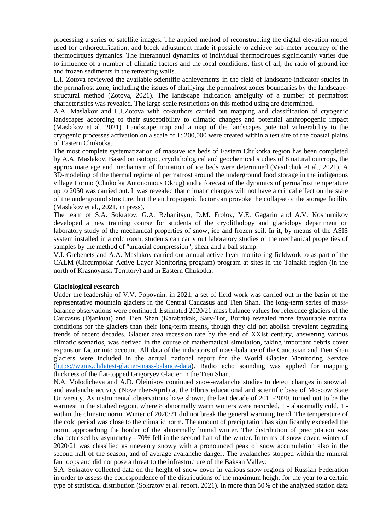processing a series of satellite images. The applied method of reconstructing the digital elevation model used for orthorectification, and block adjustment made it possible to achieve sub-meter accuracy of the thermocirques dymanics. The interannual dynamics of individual thermocirques significantly varies due to influence of a number of climatic factors and the local conditions, first of all, the ratio of ground ice and frozen sediments in the retreating walls.

L.I. Zotova reviewed the available scientific achievements in the field of landscape-indicator studies in the permafrost zone, including the issues of clarifying the permafrost zones boundaries by the landscapestructural method (Zotova, 2021). The landscape indication ambiguity of a number of permafrost characteristics was revealed. The large-scale restrictions on this method using are determined.

A.A. Maslakov and L.I.Zotova with co-authors carried out mapping and classification of cryogenic landscapes according to their susceptibility to climatic changes and potential anthropogenic impact (Maslakov et al, 2021). Landscape map and a map of the landscapes potential vulnerability to the cryogenic processes activation on a scale of 1: 200,000 were created within a test site of the coastal plains of Eastern Chukotka.

The most complete systematization of massive ice beds of Eastern Chukotka region has been completed by A.A. Maslakov. Based on isotopic, cryolithological and geochemical studies of 8 natural outcrops, the approximate age and mechanism of formation of ice beds were determined (Vasil'chuk et al., 2021). A 3D-modeling of the thermal regime of permafrost around the underground food storage in the indigenous village Lorino (Chukotka Autonomous Okrug) and a forecast of the dynamics of permafrost temperature up to 2050 was carried out. It was revealed that climatic changes will not have a critical effect on the state of the underground structure, but the anthropogenic factor can provoke the collapse of the storage facility (Maslakov et al., 2021, in press).

The team of S.A. Sokratov, G.A. Rzhanitsyn, D.M. Frolov, V.E. Gagarin and A.V. Koshurnikov developed a new training course for students of the cryolithology and glaciology department on laboratory study of the mechanical properties of snow, ice and frozen soil. In it, by means of the ASIS system installed in a cold room, students can carry out laboratory studies of the mechanical properties of samples by the method of "uniaxial compression", shear and a ball stamp.

V.I. Grebenets and A.A. Maslakov carried out annual active layer monitoring fieldwork to as part of the CALM (Circumpolar Active Layer Monitoring program) program at sites in the Talnakh region (in the north of Krasnoyarsk Territory) and in Eastern Chukotka.

### **Glaciological research**

Under the leadership of V.V. Popovnin, in 2021, a set of field work was carried out in the basin of the representative mountain glaciers in the Central Caucasus and Tien Shan. The long-term series of massbalance observations were continued. Estimated 2020/21 mass balance values for reference glaciers of the Caucasus (Djankuat) and Tien Shan (Karabatkak, Sary-Tor, Bordu) revealed more favourable natural conditions for the glaciers than their long-term means, though they did not abolish prevalent degrading trends of recent decades. Glacier area recession rate by the end of XXIst century, answering various climatic scenarios, was derived in the course of mathematical simulation, taking important debris cover expansion factor into account. All data of the indicators of mass-balance of the Caucasian and Tien Shan glaciers were included in the annual national report for the World Glacier Monitoring Service [\(https://wgms.ch/latest-glacier-mass-balance-data\)](https://wgms.ch/latest-glacier-mass-balance-data). Radio echo sounding was applied for mapping thickness of the flat-topped Grigoryev Glacier in the Tien Shan.

N.A. Volodicheva and A.D. Oleinikov continued snow-avalanche studies to detect changes in snowfall and avalanche activity (November-April) at the Elbrus educational and scientific base of Moscow State University. As instrumental observations have shown, the last decade of 2011-2020. turned out to be the warmest in the studied region, where 8 abnormally warm winters were recorded, 1 - abnormally cold, 1 within the climatic norm. Winter of 2020/21 did not break the general warming trend. The temperature of the cold period was close to the climatic norm. The amount of precipitation has significantly exceeded the norm, approaching the border of the abnormally humid winter. The distribution of precipitation was characterised by asymmetry - 70% fell in the second half of the winter. In terms of snow cover, winter of 2020/21 was classified as unevenly snowy with a pronounced peak of snow accumulation also in the second half of the season, and of average avalanche danger. The avalanches stopped within the mineral fan loops and did not pose a threat to the infrastructure of the Baksan Valley.

S.A. Sokratov collected data on the height of snow cover in various snow regions of Russian Federation in order to assess the correspondence of the distributions of the maximum height for the year to a certain type of statistical distribution (Sokratov et al. report, 2021). In more than 50% of the analyzed station data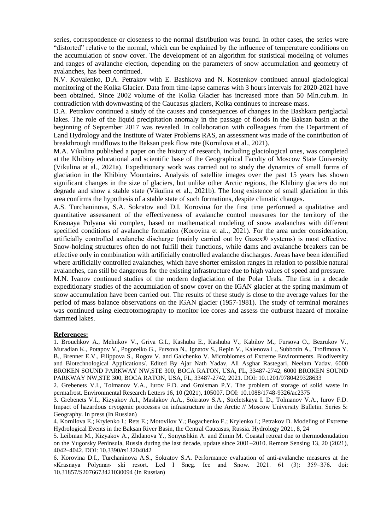series, correspondence or closeness to the normal distribution was found. In other cases, the series were "distorted" relative to the normal, which can be explained by the influence of temperature conditions on the accumulation of snow cover. The development of an algorithm for statistical modeling of volumes and ranges of avalanche ejection, depending on the parameters of snow accumulation and geometry of avalanches, has been continued.

N.V. Kovalenko, D.A. Petrakov with E. Bashkova and N. Kostenkov continued annual glaciological monitoring of the Kolka Glacier. Data from time-lapse cameras with 3 hours intervals for 2020-2021 have been obtained. Since 2002 volume of the Kolka Glacier has increased more than 50 Mln.cub.m. In contradiction with downwasting of the Caucasus glaciers, Kolka continues to increase mass.

D.A. Petrakov continued a study of the causes and consequences of changes in the Bashkara periglacial lakes. The role of the liquid precipitation anomaly in the passage of floods in the Baksan basin at the beginning of September 2017 was revealed. In collaboration with colleagues from the Department of Land Hydrology and the Institute of Water Problems RAS, an assessment was made of the contribution of breakthrough mudflows to the Baksan peak flow rate (Kornilova et al., 2021).

M.A. Vikulina published a paper on the history of research, including glaciological ones, was completed at the Khibiny educational and scientific base of the Geographical Faculty of Moscow State University (Vikulina at al., 2021a). Expeditionary work was carried out to study the dynamics of small forms of glaciation in the Khibiny Mountains. Analysis of satellite images over the past 15 years has shown significant changes in the size of glaciers, but unlike other Arctic regions, the Khibiny glaciers do not degrade and show a stable state (Vikulina et al., 2021b). The long existence of small glaciation in this area confirms the hypothesis of a stable state of such formations, despite climatic changes.

A.S. Turchaninova, S.A. Sokratov and D.I. Korovina for the first time performed a qualitative and quantitative assessment of the effectiveness of avalanche control measures for the territory of the Krasnaya Polyana ski complex, based on mathematical modeling of snow avalanches with different specified conditions of avalanche formation (Korovina et al.., 2021). For the area under consideration, artificially controlled avalanche discharge (mainly carried out by Gazex® systems) is most effective. Snow-holding structures often do not fulfill their functions, while dams and avalanche breakers can be effective only in combination with artificially controlled avalanche discharges. Areas have been identified where artificially controlled avalanches, which have shorter emission ranges in relation to possible natural avalanches, can still be dangerous for the existing infrastructure due to high values of speed and pressure.

M.N. Ivanov continued studies of the modern deglaciation of the Polar Urals. The first in a decade expeditionary studies of the accumulation of snow cover on the IGAN glacier at the spring maximum of snow accumulation have been carried out. The results of these study is close to the average values for the period of mass balance observations on the IGAN glacier (1957-1981). The study of terminal moraines was continued using electrotomography to monitor ice cores and assess the outburst hazard of moraine dammed lakes.

### **References:**

1. Brouchkov A., Melnikov V., Griva G.I., Kashuba E., Kashuba V., Kabilov M., Fursova O., Bezrukov V., Muradian K., Potapov V., Pogorelko G., Fursova N., Ignatov S., Repin V., Kalenova L., Subbotin A., Trofimova Y. B., Brenner E.V., Filippova S., Rogov V. and Galchenko V. Microbiomes of Extreme Environments. Biodiversity and Biotechnological Applications/. Edited By Ajar Nath Yadav, Ali Asghar Rastegari, Neelam Yadav. 6000 BROKEN SOUND PARKWAY NW,STE 300, BOCA RATON, USA, FL, 33487-2742, 6000 BROKEN SOUND PARKWAY NW,STE 300, BOCA RATON, USA, FL, 33487-2742, 2021. DOI: 10.1201/9780429328633

2. Grebenets V.I., Tolmanov V.A., Iurov F.D. and Groisman P.Y. The problem of storage of solid waste in permafrost. Environmental Research Letters 16, 10 (2021), 105007. DOI: 10.1088/1748-9326/ac2375

3. Grebenets V.I., Kizyakov A.I., Maslakov A.A., Sokratov S.A., Streletskaya I. D., Tolmanov V.A., Iurov F.D. Impact of hazardous cryogenic processes on infrastructure in the Arctic // Moscow University Bulletin. Series 5: Geography. In press (In Russian)

5. Leibman M., Kizyakov A., Zhdanova Y., Sonyushkin A. and Zimin M. Coastal retreat due to thermodenudation on the Yugorsky Peninsula, Russia during the last decade, update since 2001–2010. Remote Sensing 13, 20 (2021), 4042–4042. DOI: 10.3390/rs13204042

6. Korovina D.I., Turchaninova A.S., Sokratov S.A. Performance evaluation of anti-avalanche measures at the «Krasnaya Polyana» ski resort. Led I Sneg. Ice and Snow. 2021. 61 (3): 359–376. doi: 10.31857/S2076673421030094 (In Russian)

<sup>4.</sup> Kornilova E.; Krylenko I.; Rets E.; Motovilov Y.; Bogachenko E.; Krylenko I.; Petrakov D. Modeling of Extreme Hydrological Events in the Baksan River Basin, the Central Caucasus, Russia. Hydrology 2021, 8, 24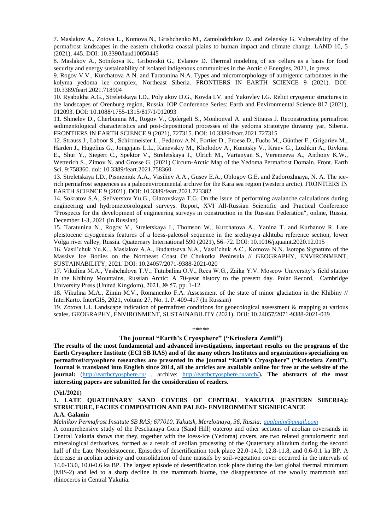7. Maslakov A., Zotova L., Komova N., Grishchenko M., Zamolodchikov D. and Zelensky G. Vulnerability of the permafrost landscapes in the eastern chukotka coastal plains to human impact and climate change. LAND 10, 5 (2021), 445. DOI: 10.3390/land10050445

8. Maslakov A., Sotnikova K., Gribovskii G., Evlanov D. Thermal modeling of ice cellars as a basis for food security and energy sustainability of isolated indigenous communities in the Arctic // Energies, 2021, in press.

9. Rogov V.V., Kurchatova A.N. and Taratunina N.A. Types and micromorphology of authigenic carbonates in the kolyma yedoma ice complex, Northeast Siberia. FRONTIERS IN EARTH SCIENCE 9 (2021). DOI: 10.3389/feart.2021.718904

10. Ryabukha A.G., Streletskaya I.D., Poly akov D.G., Kovda I.V. and Yakovlev I.G. Relict cryogenic structures in the landscapes of Orenburg region, Russia. IOP Conference Series: Earth and Environmental Science 817 (2021), 012093. DOI: 10.1088/1755-1315/817/1/012093

11. Shmelev D., Cherbunina M., Rogov V., Opfergelt S., Monhonval A. and Strauss J. Reconstructing permafrost sedimentological characteristics and post-depositional processes of the yedoma stratotype duvanny yar, Siberia. FRONTIERS IN EARTH SCIENCE 9 (2021), 727315. DOI: 10.3389/feart.2021.727315

12. Strauss J., Laboor S., Schirrmeister L., Fedorov A.N., Fortier D., Froese D., Fuchs M., Günther F., Grigoriev M., Harden J., Hugelius G., Jongejans L.L., Kanevskiy M., Kholodov A., Kunitsky V., Kraev G., Lozhkin A., Rivkina E., Shur Y., Siegert C., Spektor V., Streletskaya I., Ulrich M., Vartanyan S., Veremeeva A., Anthony K.W., Wetterich S., Zimov N. and Grosse G. (2021) Circum-Arctic Map of the Yedoma Permafrost Domain. Front. Earth Sci. 9:758360. doi: 10.3389/feart.2021.758360

13. Streletskaya I.D., Pismeniuk A.A., Vasiliev A.A., Gusev E.A., Oblogov G.E. and Zadorozhnaya, N. A. The icerich permafrost sequences as a paleoenvironmental archive for the Kara sea region (western arctic). FRONTIERS IN EARTH SCIENCE 9 (2021). DOI: 10.3389/feart.2021.723382

14. Sokratov S.A., Seliverstov Yu.G., Glazovskaya T.G. On the issue of performing avalanche calculations during engineering and hydrometeorological surveys. Report, XVI All-Russian Scientific and Practical Conference "Prospects for the development of engineering surveys in construction in the Russian Federation", online, Russia, December 1-3, 2021 (In Russian)

15. Taratunina N., Rogov V., Streletskaya I., Thomson W., Kurchatova A., Yanina T. and Kurbanov R. Late pleistocene cryogenesis features of a loess-paleosol sequence in the srednyaya akhtuba reference section, lower Volga river valley, Russia. Quaternary International 590 (2021), 56–72. DOI: 10.1016/j.quaint.2020.12.015

16. Vasil'chuk Yu.K.., Maslakov A.A., Budantseva N.A., Vasil'chuk A.C., Komova N.N. Isotope Signature of the Massive Ice Bodies on the Northeast Coast Of Chukotka Peninsula // GEOGRAPHY, ENVIRONMENT, SUSTAINABILITY, 2021. DOI: 10.24057/2071-9388-2021-020

17. Vikulina M.A., Vashchalova T.V., Tutubalina O.V., Rees W.G., Zaika Y.V. Moscow University's field station in the Khibiny Mountains, Russian Arctic: A 70-year history to the present day. Polar Record, Cambridge University Press (United Kingdom), 2021, № 57, pp. 1-12.

18. Vikulina M.A., Zimin M.V., Romanenko F.A. Assessment of the state of minor glaciation in the Khibiny // InterKarto. InterGIS, 2021, volume 27, No. 1. P. 409-417 (In Russian)

19. Zotova L.I. Landscape indication of permafrost conditions for geoecological assessment & mapping at various scales. GEOGRAPHY, ENVIRONMENT, SUSTAINABILITY (2021). DOI: 10.24057/2071-9388-2021-039

#### \*\*\*\*\*

### **The journal "Earth's Cryosphere" ("Kriosfera Zemli")**

**The results of the most fundamental and advanced investigations, important results on the programs of the Earth Cryosphere Institute (ECI SB RAS) and of the many others Institutes and organizations specializing on permafrost/cryosphere researches are presented in the journal "Earth's Cryosphere" ("Kriosfera Zemli"). Journal is translated into English since 2014, all the articles are available online for free at the website of the journal:** [\(http://earthcryosphere.ru/](http://earthcryosphere.ru/) , archive: [http://earthcryosphere.ru/arch/\)](http://earthcryosphere.ru/arch/). The abstracts of the most **interesting papers are submitted for the consideration of readers.**

### **(№1/2021)**

### **1. LATE QUATERNARY SAND COVERS OF CENTRAL YAKUTIA (EASTERN SIBERIA): STRUCTURE, FACIES COMPOSITION AND PALEO- ENVIRONMENT SIGNIFICANCE A.A. Galanin**

*Melnikov Permafrost Institute SB RAS; 677010, Yakutsk, Merzlotnaya, 36, Russia; [agalanin@gmail.com](mailto:agalanin@gmail.com)*

A comprehensive study of the Peschanaya Gora (Sand Hill) outcrop and other sections of aeolian coversands in Central Yakutia shows that they, together with the loess-ice (Yedoma) covers, are two related granulometric and mineralogical derivatives, formed as a result of aeolian processing of the Quaternary alluvium during the second half of the Late Neopleistocene. Episodes of desertification took place 22.0-14.0, 12.8-11.8, and 0.6-0.1 ka BP. A decrease in aeolian activity and consolidation of dune massifs by soil-vegetation cover occurred in the intervals of 14.0-13.0, 10.0-0.6 ka BP. The largest episode of desertification took place during the last global thermal minimum (MIS-2) and led to a sharp decline in the mammoth biome, the disappearance of the woolly mammoth and rhinoceros in Central Yakutia.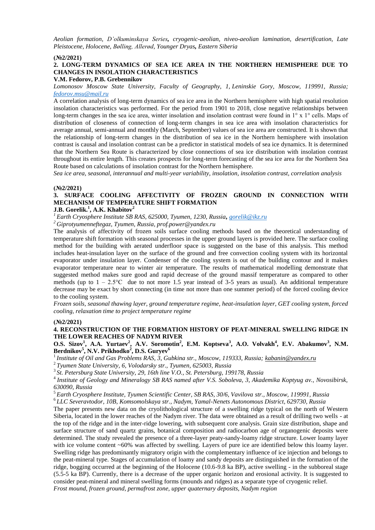*Aeolian formation, D'olkuminskaya Series, cryogenic-aeolian, niveo-aeolian lamination, desertification, Late Pleistocene, Holocene, Bølling, Allerød, Younger Dryas, Eastern Siberia*

#### **(№2/2021)**

# **2. LONG-TERM DYNAMICS OF SEA ICE AREA IN THE NORTHERN HEMISPHERE DUE TO CHANGES IN INSOLATION CHARACTERISTICS**

### **V.M. Fedorov, P.B. Grebennikov**

*Lomonosov Moscow State University, Faculty of Geography, 1, Leninskie Gory, Moscow, 119991, Russia; [fedorov.msu@mail.ru](mailto:fedorov.msu@mail.ru)*

A correlation analysis of long-term dynamics of sea ice area in the Northern hemisphere with high spatial resolution insolation characteristics was performed. For the period from 1901 to 2018, close negative relationships between long-term changes in the sea ice area, winter insolation and insolation contrast were found in 1° x 1° cells. Maps of distribution of closeness of connection of long-term changes in sea ice area with insolation characteristics for average annual, semi-annual and monthly (March, September) values of sea ice area are constructed. It is shown that the relationship of long-term changes in the distribution of sea ice in the Northern hemisphere with insolation contrast is causal and insolation contrast can be a predictor in statistical models of sea ice dynamics. It is determined that the Northern Sea Route is characterized by close connections of sea ice distribution with insolation contrast throughout its entire length. This creates prospects for long-term forecasting of the sea ice area for the Northern Sea Route based on calculations of insolation contrast for the Northern hemisphere.

*Sea ice area, seasonal, interannual and multi-year variability, insolation, insolation contrast, correlation analysis*

#### **(№2/2021)**

# **3. SURFACE COOLING AFFECTIVITY OF FROZEN GROUND IN CONNECTION WITH MECHANISM OF TEMPERATURE SHIFT FORMATION**

# **J.B. Gorelik.<sup>1</sup> , A.K. Khabitov<sup>2</sup>**

*<sup>1</sup>Earth Cryosphere Institute SB RAS, 625000, Tyumen, 1230, Russia, [gorelik@ikz.ru](mailto:gorelik@ikz.ru)*

*<sup>2</sup>Giprotyumenneftegaz, Tyumen, Russia, prof.power@yandex.ru*

The analysis of affectivity of frozen soils surface cooling methods based on the theoretical understanding of temperature shift formation with seasonal processes in the upper ground layers is provided here. The surface cooling method for the building with aerated underfloor space is suggested on the base of this analysis. This method includes heat-insulation layer on the surface of the ground and free convection cooling system with its horizontal evaporator under insulation layer. Condenser of the cooling system is out of the building contour and it makes evaporator temperature near to winter air temperature. The results of mathematical modelling demonstrate that suggested method makes sure good and rapid decrease of the ground massif temperature as compared to other methods (up to  $1 - 2.5$ °C due to not more 1.5 year instead of 3-5 years as usual). An additional temperature decrease may be exact by short connecting (in time not more than one summer period) of the forced cooling device to the cooling system.

*Frozen soils, seasonal thawing layer, ground temperature regime, heat-insulation layer, GET cooling system, forced cooling, relaxation time to project temperature regime*

#### **(№2/2021)**

### **4. RECONSTRUCTION OF THE FORMATION HISTORY OF PEAT-MINERAL SWELLING RIDGE IN THE LOWER REACHES OF NADYM RIVER**

**O.S. Sizov<sup>1</sup> , A.A. Yurtaev<sup>2</sup> , A.V. Soromotin<sup>2</sup> , E.M. Koptseva<sup>3</sup> , A.O. Volvakh<sup>4</sup> , E.V. Abakumov<sup>3</sup> , N.M. Berdnikov<sup>5</sup> , N.V. Prikhodko<sup>2</sup> , D.S. Guryev<sup>6</sup>**

<sup>1</sup>*Institute of Oil and Gas Problems RAS, 3, Gubkina str., Moscow, 119333, Russia[; kabanin@yandex.ru](mailto:kabanin@yandex.ru)*

<sup>2</sup>*Tyumen State University, 6, Volodarsky str., Tyumen, 625003, Russia*

<sup>3</sup>*St. Petersburg State University, 29, 16th line V.O., St. Petersburg, 199178, Russia*

<sup>4</sup>*Institute of Geology and Mineralogy SB RAS named after V.S. Soboleva, 3, Akademika Koptyug av., Novosibirsk, 630090, Russia*

<sup>5</sup>*Earth Cryosphere Institute, Tyumen Scientific Center, SB RAS, 30/6, Vavilova str., Moscow, 119991, Russia*

<sup>6</sup>*LLC Severavtodor, 10B, Komsomolskaya str., Nadym, Yamal-Nenets Autonomous District, 629730, Russia*

The paper presents new data on the cryolithological structure of a swelling ridge typical on the north of Western Siberia, located in the lower reaches of the Nadym river. The data were obtained as a result of drilling two wells - at the top of the ridge and in the inter-ridge lowering, with subsequent core analysis. Grain size distribution, shape and surface structure of sand quartz grains, botanical composition and radiocarbon age of organogenic deposits were determined. The study revealed the presence of a three-layer peaty-sandy-loamy ridge structure. Lower loamy layer with ice volume content ~60% was affected by swelling. Layers of pure ice are identified below this loamy layer. Swelling ridge has predominantly migratory origin with the complementary influence of ice injection and belongs to the peat-mineral type. Stages of accumulation of loamy and sandy deposits are distinguished in the formation of the ridge, bogging occurred at the beginning of the Holocene (10.6-9.8 ka BP), active swelling - in the subboreal stage (5.5-5 ka BP). Currently, there is a decrease of the upper organic horizon and erosional activity. It is suggested to consider peat-mineral and mineral swelling forms (mounds and ridges) as a separate type of cryogenic relief. *Frost mound, frozen ground, permafrost zone, upper quaternary deposits, Nadym region*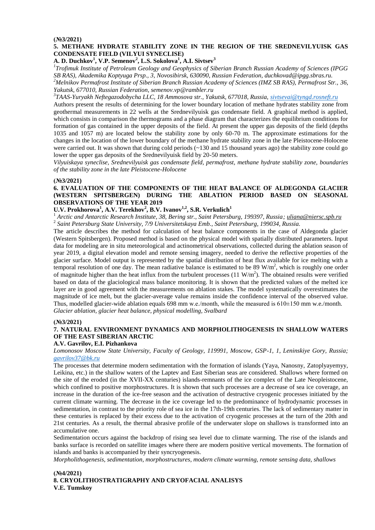# **(№3/2021)**

# **5. METHANE HYDRATE STABILITY ZONE IN THE REGION OF THE SREDNEVILYUISK GAS CONDENSATE FIELD (VILYUI SYNECLISE)**

**A. D. Duchkov<sup>1</sup> , V.P. Semenov<sup>2</sup> , L.S. Sokolova<sup>1</sup> , A.I. Sivtsev<sup>3</sup>**

*1 Trofimuk Institute of Petroleum Geology and Geophysics of Siberian Branch Russian Academy of Sciences (IPGG SB RAS), Akademika Koptyuga Prsp., 3, Novosibirsk, 630090, Russian Federation, duchkovad@ipgg.sbras.ru.* 

*<sup>2</sup>Melnikov Permafrost Institute of Siberian Branch Russian Academy of Sciences (IMZ SB RAS), Permafrost Str., 36, Yakutsk, 677010, Russian Federation, semenov.vp@rambler.ru*

*3 TAAS-Yuryakh Neftegazodobycha LLC, 18 Ammosova str., Yakutsk, 677018, Russia, [sivtsevai@tyngd.rosneft.ru](mailto:sivtsevai@tyngd.rosneft.ru)*

Authors present the results of determining for the lower boundary location of methane hydrates stability zone from geothermal measurements in 22 wells at the Srednevilyuisk gas condensate field. A graphical method is applied, which consists in comparison the thermograms and a phase diagram that characterizes the equilibrium conditions for formation of gas contained in the upper deposits of the field. At present the upper gas deposits of the field (depths 1035 and 1057 m) are located below the stability zone by only 60-70 m. The approximate estimations for the changes in the location of the lower boundary of the methane hydrate stability zone in the late Pleistocene-Holocene were carried out. It was shown that during cold periods (~130 and 15 thousand years ago) the stability zone could go lower the upper gas deposits of the Srednevilyuisk field by 20-50 meters.

*Vilyuiskaya syneclise, Srednevilyuisk gas condensate field, permafrost, methane hydrate stability zone, boundaries of the stability zone in the late Pleistocene-Holocene*

#### **(№3/2021)**

# **6. EVALUATION OF THE COMPONENTS OF THE HEAT BALANCE OF ALDEGONDA GLACIER (WESTERN SPITSBERGEN) DURING THE ABLATION PERIOD BASED ON SEASONAL OBSERVATIONS OF THE YEAR 2019**

# **U.V. Prokhorova<sup>1</sup> , A.V. Terekhov<sup>2</sup> , B.V. Ivanov1,2, S.R. Verkulich<sup>1</sup>**

<sup>1</sup> *Arctic and Antarctic Research Institute, 38, Bering str., Saint Petersburg, 199397, Russia; uliana@niersc.spb.ru* 2 *Saint Petersburg State University, 7/9 Universitetskaya Emb., Saint Petersburg, 199034, Russia.*

The article describes the method for calculation of heat balance components in the case of Aldegonda glacier (Western Spitsbergen). Proposed method is based on the physical model with spatially distributed parameters. Input data for modeling are in situ meteorological and actinometrical observations, collected during the ablation season of year 2019, a digital elevation model and remote sensing imagery, needed to derive the reflective properties of the glacier surface. Model output is represented by the spatial distribution of heat flux available for ice melting with a temporal resolution of one day. The mean radiative balance is estimated to be 89  $W/m<sup>2</sup>$ , which is roughly one order of magnitude higher than the heat influx from the turbulent processes  $(11 \text{ W/m}^2)$ . The obtained results were verified based on data of the glaciological mass balance monitoring. It is shown that the predicted values of the melted ice layer are in good agreement with the measurements on ablation stakes. The model systematically overestimates the magnitude of ice melt, but the glacier-average value remains inside the confidence interval of the observed value. Thus, modelled glacier-wide ablation equals 698 mm w.e./month, while the measured is 610±150 mm w.e./month. *Glacier ablation, glacier heat balance, physical modelling, Svalbard*

#### **(№3/2021)**

# **7. NATURAL ENVIRONMENT DYNAMICS AND MORPHOLITHOGENESIS IN SHALLOW WATERS OF THE EAST SIBERIAN ARCTIC**

#### **A.V. Gavrilov, E.I. Pizhankova**

*Lomonosov Moscow State University, Faculty of Geology, 119991, Moscow, GSP-1, 1, Leninskiye Gory, Russia; [gavrilov37@bk.ru](mailto:gavrilov37@bk.ru)*

The processes that determine modern sedimentation with the formation of islands (Yaya, Nanosny, Zatoplyayemyy, Leikina, etc.) in the shallow waters of the Laptev and East Siberian seas are considered. Shallows where formed on the site of the eroded (in the XVII-XX centuries) islands-remnants of the ice complex of the Late Neopleistocene, which confined to positive morphostructures. It is shown that such processes are a decrease of sea ice coverage, an increase in the duration of the ice-free season and the activation of destructive cryogenic processes initiated by the current climate warming. The decrease in the ice coverage led to the predominance of hydrodynamic processes in sedimentation, in contrast to the priority role of sea ice in the 17th-19th centuries. The lack of sedimentary matter in these centuries is replaced by their excess due to the activation of cryogenic processes at the turn of the 20th and 21st centuries. As a result, the thermal abrasive profile of the underwater slope on shallows is transformed into an accumulative one.

Sedimentation occurs against the backdrop of rising sea level due to climate warming. The rise of the islands and banks surface is recorded on satellite images where there are modern positive vertical movements. The formation of islands and banks is accompanied by their syncryogenesis.

*Morpholithogenesis, sedimentation, morphostructures, modern climate warming, remote sensing data, shallows*

# **(№4/2021) 8. CRYOLITHOSTRATIGRAPHY AND CRYOFACIAL ANALISYS V.E. Tumskoy**